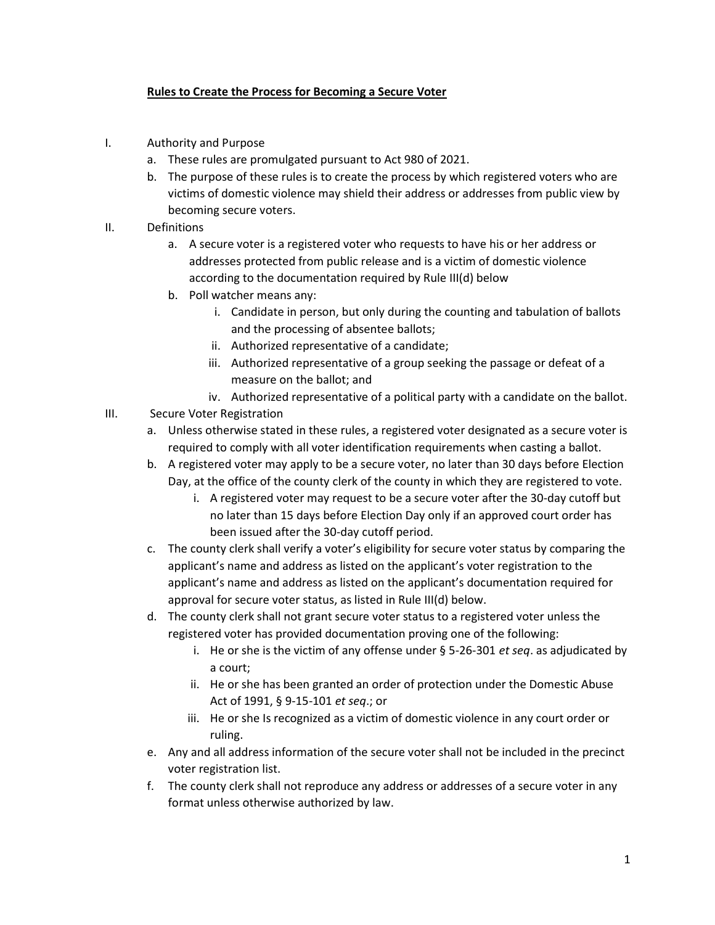## Rules to Create the Process for Becoming a Secure Voter

- I. Authority and Purpose
	- a. These rules are promulgated pursuant to Act 980 of 2021.
	- b. The purpose of these rules is to create the process by which registered voters who are victims of domestic violence may shield their address or addresses from public view by becoming secure voters.
- II. Definitions
	- a. A secure voter is a registered voter who requests to have his or her address or addresses protected from public release and is a victim of domestic violence according to the documentation required by Rule III(d) below
	- b. Poll watcher means any:
		- i. Candidate in person, but only during the counting and tabulation of ballots and the processing of absentee ballots;
		- ii. Authorized representative of a candidate;
		- iii. Authorized representative of a group seeking the passage or defeat of a measure on the ballot; and
		- iv. Authorized representative of a political party with a candidate on the ballot.
- III. Secure Voter Registration
	- a. Unless otherwise stated in these rules, a registered voter designated as a secure voter is required to comply with all voter identification requirements when casting a ballot.
	- b. A registered voter may apply to be a secure voter, no later than 30 days before Election Day, at the office of the county clerk of the county in which they are registered to vote.
		- i. A registered voter may request to be a secure voter after the 30-day cutoff but no later than 15 days before Election Day only if an approved court order has been issued after the 30-day cutoff period.
	- c. The county clerk shall verify a voter's eligibility for secure voter status by comparing the applicant's name and address as listed on the applicant's voter registration to the applicant's name and address as listed on the applicant's documentation required for approval for secure voter status, as listed in Rule III(d) below.
	- d. The county clerk shall not grant secure voter status to a registered voter unless the registered voter has provided documentation proving one of the following:
		- i. He or she is the victim of any offense under  $\S$  5-26-301 *et seq*. as adjudicated by a court;
		- ii. He or she has been granted an order of protection under the Domestic Abuse Act of 1991, § 9-15-101 et seq.; or
		- iii. He or she Is recognized as a victim of domestic violence in any court order or ruling.
	- e. Any and all address information of the secure voter shall not be included in the precinct voter registration list.
	- f. The county clerk shall not reproduce any address or addresses of a secure voter in any format unless otherwise authorized by law.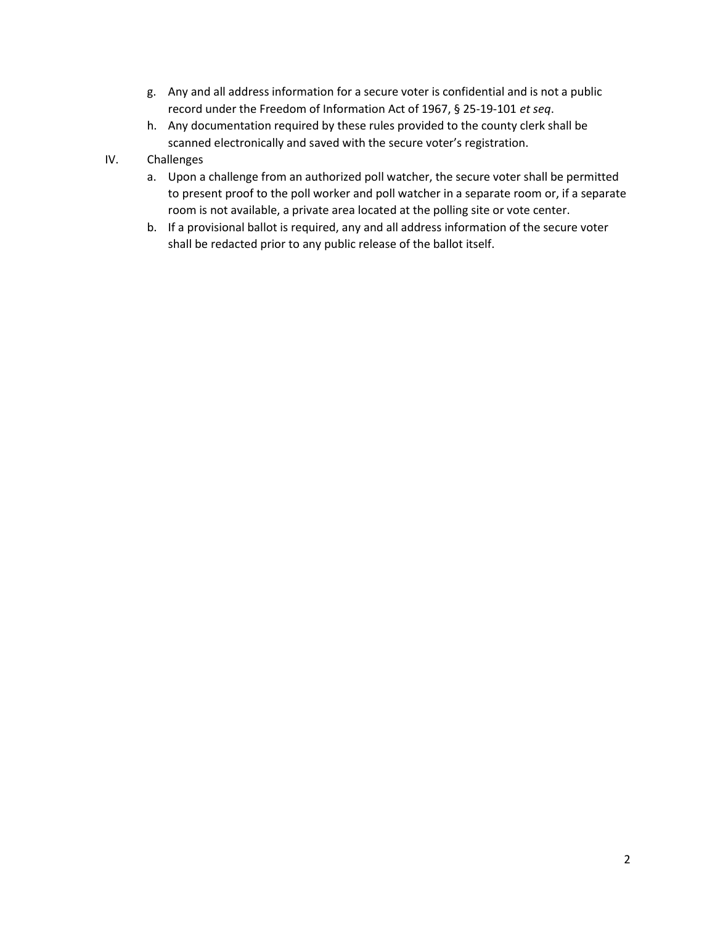- g. Any and all address information for a secure voter is confidential and is not a public record under the Freedom of Information Act of 1967, § 25-19-101 et seq.
- h. Any documentation required by these rules provided to the county clerk shall be scanned electronically and saved with the secure voter's registration.
- IV. Challenges
	- a. Upon a challenge from an authorized poll watcher, the secure voter shall be permitted to present proof to the poll worker and poll watcher in a separate room or, if a separate room is not available, a private area located at the polling site or vote center.
	- b. If a provisional ballot is required, any and all address information of the secure voter shall be redacted prior to any public release of the ballot itself.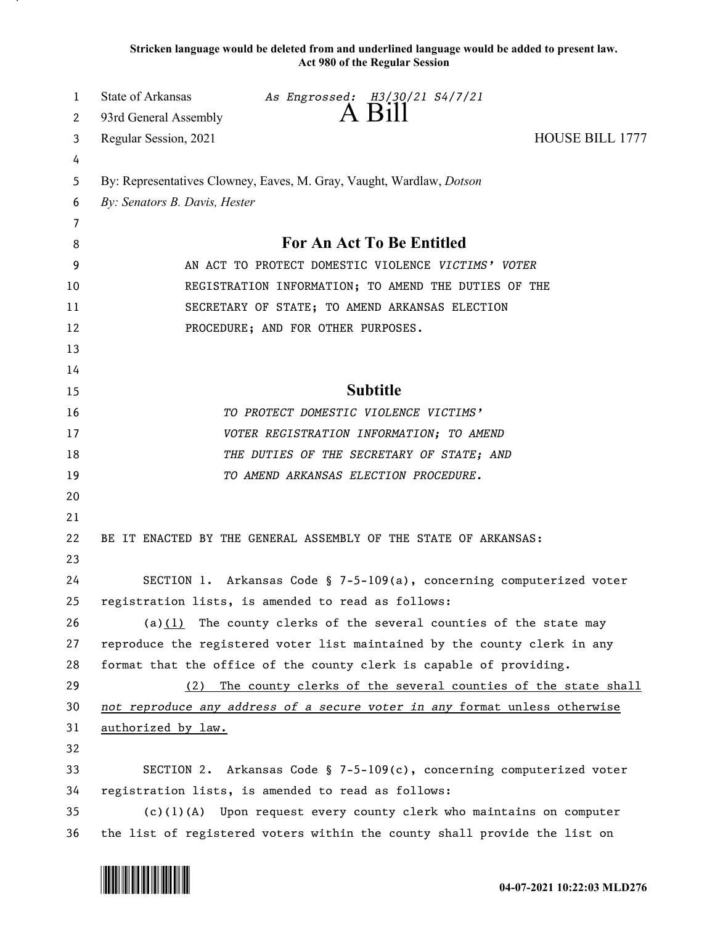**Stricken language would be deleted from and underlined language would be added to present law. Act 980 of the Regular Session**

| 1  | State of Arkansas                                                           | As Engrossed: H3/30/21 S4/7/21                                             |                        |
|----|-----------------------------------------------------------------------------|----------------------------------------------------------------------------|------------------------|
| 2  | 93rd General Assembly                                                       | A Bill                                                                     |                        |
| 3  | Regular Session, 2021                                                       |                                                                            | <b>HOUSE BILL 1777</b> |
| 4  |                                                                             |                                                                            |                        |
| 5  | By: Representatives Clowney, Eaves, M. Gray, Vaught, Wardlaw, <i>Dotson</i> |                                                                            |                        |
| 6  | By: Senators B. Davis, Hester                                               |                                                                            |                        |
| 7  |                                                                             |                                                                            |                        |
| 8  | For An Act To Be Entitled                                                   |                                                                            |                        |
| 9  | AN ACT TO PROTECT DOMESTIC VIOLENCE VICTIMS' VOTER                          |                                                                            |                        |
| 10 |                                                                             | REGISTRATION INFORMATION; TO AMEND THE DUTIES OF THE                       |                        |
| 11 |                                                                             | SECRETARY OF STATE; TO AMEND ARKANSAS ELECTION                             |                        |
| 12 |                                                                             | PROCEDURE; AND FOR OTHER PURPOSES.                                         |                        |
| 13 |                                                                             |                                                                            |                        |
| 14 |                                                                             |                                                                            |                        |
| 15 |                                                                             | <b>Subtitle</b>                                                            |                        |
| 16 |                                                                             | TO PROTECT DOMESTIC VIOLENCE VICTIMS'                                      |                        |
| 17 |                                                                             | VOTER REGISTRATION INFORMATION; TO AMEND                                   |                        |
| 18 |                                                                             | THE DUTIES OF THE SECRETARY OF STATE; AND                                  |                        |
| 19 |                                                                             | TO AMEND ARKANSAS ELECTION PROCEDURE.                                      |                        |
| 20 |                                                                             |                                                                            |                        |
| 21 |                                                                             |                                                                            |                        |
| 22 |                                                                             | BE IT ENACTED BY THE GENERAL ASSEMBLY OF THE STATE OF ARKANSAS:            |                        |
| 23 |                                                                             |                                                                            |                        |
| 24 |                                                                             | SECTION 1. Arkansas Code § 7-5-109(a), concerning computerized voter       |                        |
| 25 |                                                                             | registration lists, is amended to read as follows:                         |                        |
| 26 |                                                                             | (a) $(1)$ The county clerks of the several counties of the state may       |                        |
| 27 |                                                                             | reproduce the registered voter list maintained by the county clerk in any  |                        |
| 28 |                                                                             | format that the office of the county clerk is capable of providing.        |                        |
| 29 | (2)                                                                         | The county clerks of the several counties of the state shall               |                        |
| 30 |                                                                             | not reproduce any address of a secure voter in any format unless otherwise |                        |
| 31 | authorized by law.                                                          |                                                                            |                        |
| 32 |                                                                             |                                                                            |                        |
| 33 |                                                                             | SECTION 2. Arkansas Code § 7-5-109(c), concerning computerized voter       |                        |
| 34 |                                                                             | registration lists, is amended to read as follows:                         |                        |
| 35 |                                                                             | $(c)(1)(A)$ Upon request every county clerk who maintains on computer      |                        |
| 36 |                                                                             | the list of registered voters within the county shall provide the list on  |                        |

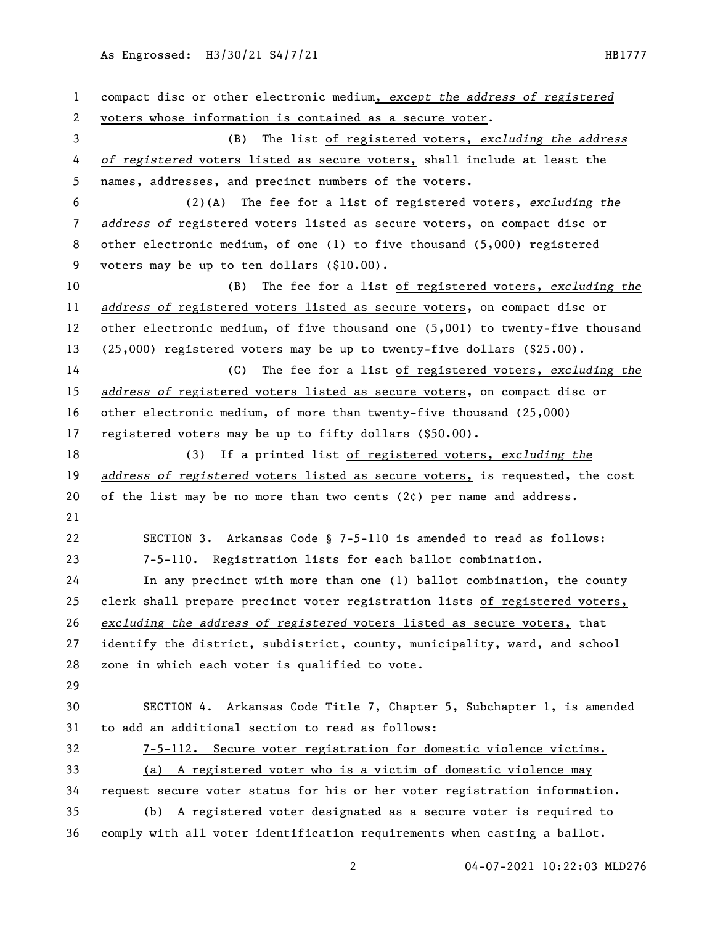## As Engrossed: H3/30/21 S4/7/21 11 120 120 120 120 120 121 122 123 124 125 126 127 128 128 129 120 120 120 120 1

 compact disc or other electronic medium, *except the address of registered* voters whose information is contained as a secure voter. (B) The list of registered voters, *excluding the address of registered* voters listed as secure voters, shall include at least the names, addresses, and precinct numbers of the voters. (2)(A) The fee for a list of registered voters, *excluding the address of* registered voters listed as secure voters, on compact disc or other electronic medium, of one (1) to five thousand (5,000) registered voters may be up to ten dollars (\$10.00). (B) The fee for a list of registered voters, *excluding the address of* registered voters listed as secure voters, on compact disc or other electronic medium, of five thousand one (5,001) to twenty-five thousand (25,000) registered voters may be up to twenty-five dollars (\$25.00). (C) The fee for a list of registered voters, *excluding the address of* registered voters listed as secure voters, on compact disc or other electronic medium, of more than twenty-five thousand (25,000) registered voters may be up to fifty dollars (\$50.00). (3) If a printed list of registered voters, *excluding the address of registered* voters listed as secure voters, is requested, the cost 20 of the list may be no more than two cents  $(2c)$  per name and address. SECTION 3. Arkansas Code § 7-5-110 is amended to read as follows: 7-5-110. Registration lists for each ballot combination. In any precinct with more than one (1) ballot combination, the county clerk shall prepare precinct voter registration lists of registered voters, *excluding the address of registered* voters listed as secure voters, that identify the district, subdistrict, county, municipality, ward, and school zone in which each voter is qualified to vote. SECTION 4. Arkansas Code Title 7, Chapter 5, Subchapter 1, is amended to add an additional section to read as follows: 7-5-112. Secure voter registration for domestic violence victims. (a) A registered voter who is a victim of domestic violence may request secure voter status for his or her voter registration information. (b) A registered voter designated as a secure voter is required to comply with all voter identification requirements when casting a ballot.

04-07-2021 10:22:03 MLD276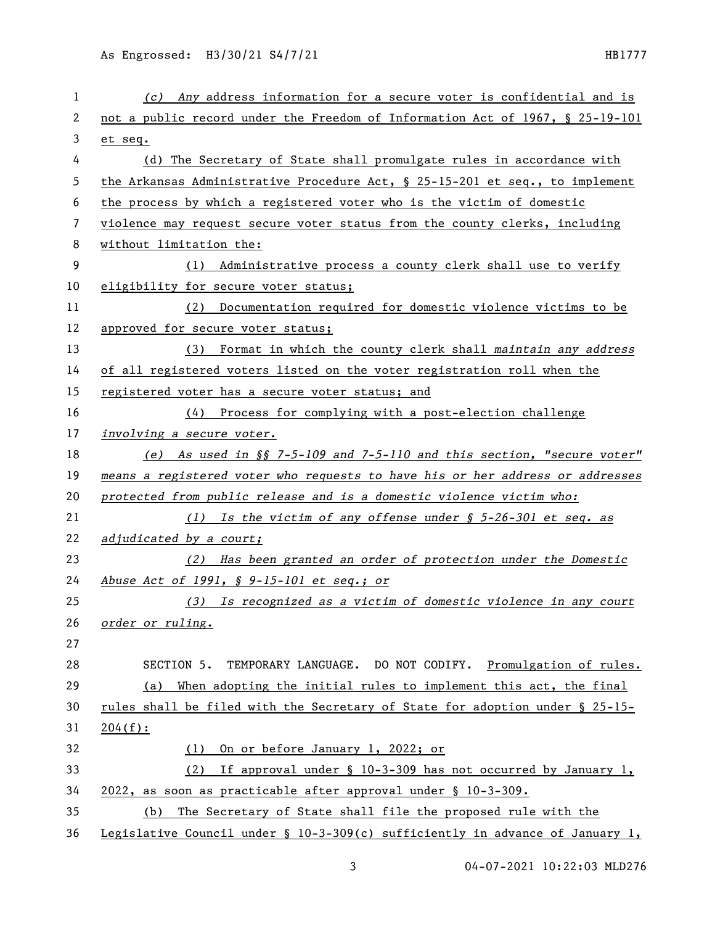| 1  | (c) Any address information for a secure voter is confidential and is         |
|----|-------------------------------------------------------------------------------|
| 2  | not a public record under the Freedom of Information Act of 1967, § 25-19-101 |
| 3  | et seq.                                                                       |
| 4  | (d) The Secretary of State shall promulgate rules in accordance with          |
| 5  | the Arkansas Administrative Procedure Act, § 25-15-201 et seq., to implement  |
| 6  | the process by which a registered voter who is the victim of domestic         |
| 7  | violence may request secure voter status from the county clerks, including    |
| 8  | without limitation the:                                                       |
| 9  | Administrative process a county clerk shall use to verify<br>(1)              |
| 10 | eligibility for secure voter status;                                          |
| 11 | Documentation required for domestic violence victims to be<br>(2)             |
| 12 | approved for secure voter status;                                             |
| 13 | (3) Format in which the county clerk shall maintain any address               |
| 14 | of all registered voters listed on the voter registration roll when the       |
| 15 | registered voter has a secure voter status; and                               |
| 16 | $(4)$ Process for complying with a post-election challenge                    |
| 17 | involving a secure voter.                                                     |
| 18 | (e) As used in §§ 7-5-109 and 7-5-110 and this section, "secure voter"        |
| 19 | means a registered voter who requests to have his or her address or addresses |
| 20 | protected from public release and is a domestic violence victim who:          |
| 21 | (1) Is the victim of any offense under § 5-26-301 et seq. as                  |
| 22 | adjudicated by a court;                                                       |
| 23 | (2) Has been granted an order of protection under the Domestic                |
| 24 | Abuse Act of 1991, § 9-15-101 et seq.; or                                     |
| 25 | (3) Is recognized as a victim of domestic violence in any court               |
| 26 | order or ruling.                                                              |
| 27 |                                                                               |
| 28 | TEMPORARY LANGUAGE. DO NOT CODIFY. Promulgation of rules.<br>SECTION 5.       |
| 29 | When adopting the initial rules to implement this act, the final<br>(a)       |
| 30 | rules shall be filed with the Secretary of State for adoption under § 25-15-  |
| 31 | 204(f):                                                                       |
| 32 | On or before January 1, 2022; or<br>(1)                                       |
| 33 | If approval under § 10-3-309 has not occurred by January 1,<br>(2)            |
| 34 | 2022, as soon as practicable after approval under § 10-3-309.                 |
| 35 | The Secretary of State shall file the proposed rule with the<br>(b)           |
| 36 | Legislative Council under § 10-3-309(c) sufficiently in advance of January 1, |

04-07-2021 10:22:03 MLD276